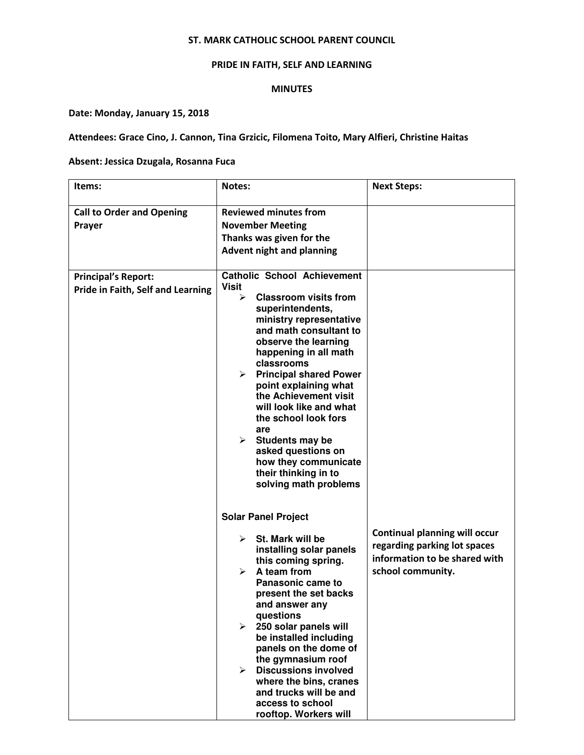#### ST. MARK CATHOLIC SCHOOL PARENT COUNCIL

# PRIDE IN FAITH, SELF AND LEARNING

#### MINUTES

# Date: Monday, January 15, 2018

# Attendees: Grace Cino, J. Cannon, Tina Grzicic, Filomena Toito, Mary Alfieri, Christine Haitas

#### Absent: Jessica Dzugala, Rosanna Fuca

| Items:                                                          | <b>Notes:</b>                                                                                                                                                                                                                                                                                                                                                                                                                                                                                                                                                                                                                                                                                                                                                                                                                                                                                                                                                                          | <b>Next Steps:</b>                                                                                                         |
|-----------------------------------------------------------------|----------------------------------------------------------------------------------------------------------------------------------------------------------------------------------------------------------------------------------------------------------------------------------------------------------------------------------------------------------------------------------------------------------------------------------------------------------------------------------------------------------------------------------------------------------------------------------------------------------------------------------------------------------------------------------------------------------------------------------------------------------------------------------------------------------------------------------------------------------------------------------------------------------------------------------------------------------------------------------------|----------------------------------------------------------------------------------------------------------------------------|
| <b>Call to Order and Opening</b><br>Prayer                      | <b>Reviewed minutes from</b><br><b>November Meeting</b><br>Thanks was given for the<br><b>Advent night and planning</b>                                                                                                                                                                                                                                                                                                                                                                                                                                                                                                                                                                                                                                                                                                                                                                                                                                                                |                                                                                                                            |
| <b>Principal's Report:</b><br>Pride in Faith, Self and Learning | <b>Catholic School Achievement</b><br><b>Visit</b><br><b>Classroom visits from</b><br>⋗<br>superintendents,<br>ministry representative<br>and math consultant to<br>observe the learning<br>happening in all math<br>classrooms<br>$\triangleright$ Principal shared Power<br>point explaining what<br>the Achievement visit<br>will look like and what<br>the school look fors<br>are<br>$\triangleright$ Students may be<br>asked questions on<br>how they communicate<br>their thinking in to<br>solving math problems<br><b>Solar Panel Project</b><br>St. Mark will be<br>⋗<br>installing solar panels<br>this coming spring.<br>A team from<br>⋗<br><b>Panasonic came to</b><br>present the set backs<br>and answer any<br>questions<br>250 solar panels will<br>≻<br>be installed including<br>panels on the dome of<br>the gymnasium roof<br><b>Discussions involved</b><br>⋗<br>where the bins, cranes<br>and trucks will be and<br>access to school<br>rooftop. Workers will | <b>Continual planning will occur</b><br>regarding parking lot spaces<br>information to be shared with<br>school community. |